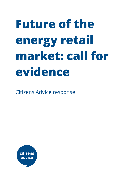# **Future of the energy retail market: call for evidence**

Citizens Advice response

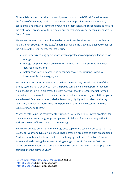Citizens Advice welcomes the opportunity to respond to the BEIS call for evidence on the future of the energy retail market. Citizens Advice provides free, independent, confidential and impartial advice to everyone on their rights and responsibilities. We are the statutory representative for domestic and microbusiness energy consumers across Great Britain.

We are encouraged that the call for evidence reaffirms the aims set out in the Energy Retail Market Strategy for the 2020s<sup>1</sup>, sharing as we do the view that ideal outcomes for the future of the retail energy market include:

- consumers receiving appropriate levels of protection and paying a fair price for energy
- energy companies being able to bring forward innovative services to deliver decarbonisation, and
- better consumer outcomes and consumer choice contributing towards a lower-cost flexible energy system.

We see these outcomes as essential to deliver the necessary decarbonisation of the energy system and, crucially, to maintain public confidence and support for net zero while the transition is in progress. It is right however that the recent market turmoil necessitates a re-evaluation of the mechanisms and interventions by which these goals are achieved. Our recent report, Market Meltdown, highlighted our view on the key regulatory and policy failures that led to poor service for many customers and the failure of many suppliers. $2$ 

As well as reforming the market for the future, we also need to fix urgent problems for consumers, and we strongly urge policymakers to take swift and necessary action to address the cost of living crisis that is emerging.

External estimates project that the energy price cap will increase in April to as much as £2,000 per year for a typical household. That increase is predicted to push an additional 2 million more households into fuel poverty, bringing the total to 6 million. Citizens Advice is already seeing the impact of rising energy prices - in December 2021 we helped double the number of people who had run out of money on their prepay meter compared to the previous year. $3$ 

<sup>&</sup>lt;sup>1</sup> Energy retail market [strategy](https://www.gov.uk/government/publications/energy-retail-market-strategy-for-the-2020s) for the 2020s (2021) BEIS

<sup>&</sup>lt;sup>2</sup> Market [Meltdown](https://www.citizensadvice.org.uk/about-us/our-work/policy/policy-research-topics/energy-policy-research-and-consultation-responses/energy-policy-research/market-meltdown-how-regulatory-failures-landed-us-with-a-multi-billion-pound-bill/) (2021) Citizens Advice

<sup>&</sup>lt;sup>3</sup> Market [Meltdown](https://www.citizensadvice.org.uk/about-us/our-work/policy/policy-research-topics/energy-policy-research-and-consultation-responses/energy-policy-research/market-meltdown-how-regulatory-failures-landed-us-with-a-multi-billion-pound-bill/) (2021) Citizens Advice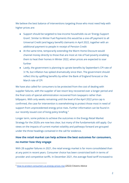We believe the best balance of interventions targeting those who most need help with higher prices are:

- Support should be targeted to low-income households via an 'Energy Support Grant'. Similar to Winter Fuel Payments this would be a one-off payment to all Universal Credit (and legacy benefit) claimants in April 2022, together with an additional payment to people in receipt of Pension Credit
- At the same time, temporarily extending the Warm Home Discount would channel money directly to those that are most at risk of fuel poverty enabling them to heat their homes in Winter 2022, when prices are expected to soar further
- Lastly, the government is planning to uprate benefits by September's CPI rate of 3.1%, but inflation has spiked dramatically since then. The government should reflect this by uplifting benefits by either the Bank of England forecast or the March rate of CPI

We have also called for consumers to be protected from the cost of dealing with supplier failures, with the supplier of last resort levy recovered over a longer period and the final costs of special administration recovered from taxpayers rather than billpayers. With only weeks remaining until the level of the April 2022 price cap is confirmed, the case for intervention is overwhelming to protect those most in need of support from unprecedented energy price rises. Further information can be found in our recently issued cost of living policy briefing.<sup>4</sup>

Longer term, some policies to achieve the outcomes in the Energy Retail Market Strategy for the 2020s are now less clear, but many of the fundamentals still apply. Our views on the impacts of current market volatility and pathways forward are grouped under the three headings contained in the call for evidence.

#### **How the retail market can help achieve the best outcomes for consumers, no matter how they engage**

With 28 supplier failures in 2021, the retail energy market is far more consolidated than at any point in recent years. Consumer choice has been constricted both in terms of provider and competitive tariffs. In December 2021, the average fixed tariff increased to

<sup>&</sup>lt;sup>4</sup> How to protect [consumers](https://www.citizensadvice.org.uk/about-us/our-work/policy/policy-research-topics/energy-policy-research-and-consultation-responses/energy-policy-research/how-to-protect-consumers-as-energy-prices-rise/) as energy prices rise (2022) Citizens Advice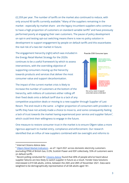£2,359 per year. The number of tariffs on the market also continued to reduce, with only around 90 tariffs currently available. <sup>5</sup> Many of the suppliers remaining in the market - especially by market share - are the legacy incumbent suppliers who continue to have a high proportion of customers on standard variable tariffs $^6$  and have previously performed poorly at engaging their own customers. The pause of policy development on opt-in and testing opt-out switching means there is now no policy solution in development to support engagement by people on default tariffs and this exacerbates the real risk of a two-tier market in future.

The engagement hierarchy (right) which was included in the Energy Retail Market Strategy for the 2020s continues to be a useful framework by which to assess interventions, with the overriding objective of supporting consumers moving up the hierarchy towards products and services that deliver the most consumer value and support decarbonisation.

The impact of the current market crisis is likely to increase the number of customers at the bottom of the hierarchy, with millions of customers either rolling off their fixed deals onto a default tariff due to a lack of any

competitive acquisition deals or moving to a new supplier through Supplier of Last Resort. The end result is the same - a higher proportion of consumers with providers or tariffs they have not actively made a choice to move to, and some consequently feeling a lack of trust towards the market having experienced poor service and supplier failure<sup>7</sup>, which could limit their willingness to engage in the future.

One measure to restore consumer trust in the market is to ensure Ofgem takes a more rigorous approach to market entry, compliance and enforcement. Our research identified that an influx of new suppliers combined with lax oversight and reforms to





Gov. policy needs to support consumers across whole stack

<sup>5</sup> Internal Citizens Advice data

<sup>6</sup> Ofgem Retail Market [Indicators](https://www.ofgem.gov.uk/retail-market-indicators) - as of 1 April 2021 across domestic electricity customers (excluding PPM) of British Gas, E.ON, Scottish Power and EDF collectively, 55% of customers were on default tariffs

 $7$  Recent polling conducted for [Citizens](https://www.citizensadvice.org.uk/Global/CitizensAdvice/Energy/Market%20Meltdown%20-%20Citizens%20Advice%20Dec%202021.pdf) Advice found that 40% of people who've heard about supplier failures are less likely to switch supplier in future as a result. Yonder Data Solutions interviewed 2,019 GB adults, online, between the 26th and 28th of November 2021. Data were weighted to be demographically representative of all GB adults aged 18+.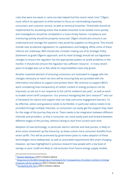rules that were too weak or came too late helped fuel the recent retail crisis.<sup>8</sup> Ofgem must reform its approach to enforcement to focus on rule-breaking impacting consumers and customer service, as well as technical breaches. Thresholds should be implemented for escalating action that enables breaches to be tackled more quickly, and investigations should be completed in a more timely fashion. Compliance and monitoring activity should be properly resourced. Ofgem should also ensure it can understand and manage the systemic risks posed by suppliers as they grow. This should include new 'prudential regulations' on capitalisation and hedging. While some of these reforms are underway, BEIS should also consider making use of its Strategic Policy Statement to guide Ofgem's approach, and its retail strategy should set out legislative changes to ensure the regulator has the appropriate powers to tackle problems in the market. It should also ensure the regulator has sufficient resource - in many recent years its budget was cut or flat, while its responsibilities have only grown.

Another essential element of ensuring consumers are motivated to engage with the changes necessary to reach net zero will be ensuring they are provided with the information and advice to support and protect them. We continue to support BEIS's work considering how transparency of carbon content in energy products can be improved, as set out in our response to the call for evidence last year $^{\circ}$ , as well as work to enable smart tariff comparison. Our previous Navigating Net Zero research<sup>10</sup> sets out a framework for advice and support that can help overcome engagement barriers. To be effective, advice and guidance needs to be flexible. In particular advice needs to be provided through multiple channels, so consumers can easily get the support they need for the stage of the journey they are at. There needs to be integration between different channels and providers, so that a consumer can move easily back and forward between different stages of the journey, without having to start from scratch each time.

Adoption of new technology, in particular electric vehicles and heat pumps, is likely to drive some movement up the hierarchy, as these unlock more consumer benefits from smart tariffs. This will be promoted by government plans to make adoption of these technologies more widespread, as well as associated requirements like smart charging. However, we have highlighted in previous research how people with a low level of savings or poor credit are likely to risk exclusion from future energy supply models,

<sup>8</sup> Market [Meltdown](https://www.citizensadvice.org.uk/about-us/our-work/policy/policy-research-topics/energy-policy-research-and-consultation-responses/energy-policy-research/market-meltdown-how-regulatory-failures-landed-us-with-a-multi-billion-pound-bill/) (2021) Citizens Advice

<sup>&</sup>lt;sup>9</sup> Response to the BEIS Designing a Framework for [Transparency](https://www.citizensadvice.org.uk/about-us/our-work/policy/policy-research-topics/energy-policy-research-and-consultation-responses/energy-consultation-responses/citizens-advice-response-to-the-beis-designing-a-framework-for-transparency-of-carbon-content-in-energy-products-call-for-evidence/) of Carbon Content in Energy [Products](https://www.citizensadvice.org.uk/about-us/our-work/policy/policy-research-topics/energy-policy-research-and-consultation-responses/energy-consultation-responses/citizens-advice-response-to-the-beis-designing-a-framework-for-transparency-of-carbon-content-in-energy-products-call-for-evidence/) call for evidence (2021) Citizens Advice

<sup>&</sup>lt;sup>10</sup> [Navigating](https://www.citizensadvice.org.uk/Global/CitizensAdvice/Energy/Navigating%20net%20zero%20(2).pdf) Net Zero (2021) Citizens Advice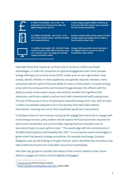

6 million households - one in five - are projected to be in fuel poverty after the April energy price cap rise

Future energy supply models involving upfront cost will need support such as grants for low-income households

4.5 million households - one in six - are in the Private Rented Sector, with this number energy supply and longer term be able to set to grow in future

Renters must be able to have control of their have access to smart tech

Energy service providers must maintain a

non-digital route to contact to ensure

households retain choice



1.5 million households - 6% - still don't have internet access, while 32% of internet users are "narrow" users, carrying out a limited range of activities online

\*Households will overlap, meaning some face even deeper disadvantage

especially those that require an up-front cost or access to credit to purchase technologies. In order for consumers to optimise engagement with more complex energy offerings such as time-of-use tariffs, assets such as micro-generation, heat pumps, electric vehicles or smart appliances are typically required. However, many consumers lack the upfront financial ability to invest in these assets. Increased energy prices will only compound this and increase the gap between the affluent with the ability to invest in low-carbon assets, who will then benefit from significant bill reductions, and those unable to and are stuck with conventional tariffs paying more. The size of this group is set to increase given expected energy price rises, with an extra 2 million households expected to be in fuel poverty from April 2022 without intervention, meaning over one in five households would be in fuel poverty.

To facilitate those on low-incomes moving up the engagement hierarchy to engage with smart energy services, policy makers should explore the future provision of grants for low income households, and more broadly ongoing financial incentives such as low-interest loans to cover upfront costs.<sup>11</sup> This would align with the commitments in the BEIS Smart Systems and Flexibility Plan 2021<sup>12</sup> to incorporate smart technologies in government fuel poverty strategy and policies, for example the Energy Company Obligation and use the findings of Project InvoLVe, which identified how innovation may help enable low income and vulnerable consumers to participate.

Two other key groups to consider the impact of the current market on their future ability to engage are renters and the digitally disengaged.

<sup>&</sup>lt;sup>11</sup> [Future](https://www.citizensadvice.org.uk/about-us/our-work/policy/policy-research-topics/energy-policy-research-and-consultation-responses/energy-policy-research/future-for-all-making-a-future-retail-energy-market-work-for-everyone/) for All (2019) Citizens Advice

<sup>&</sup>lt;sup>12</sup> Smart Systems and [Flexibility](https://assets.publishing.service.gov.uk/government/uploads/system/uploads/attachment_data/file/1003778/smart-systems-and-flexibility-plan-2021.pdf) Plan 2021 (2021) BEIS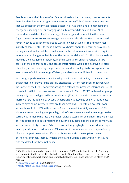People who rent their homes often face restricted choices, or having choices made for them by a landlord or managing agent. A recent survey 13 for Citizens Advice revealed that 5% of those in the Private Rented Sector (PRS) had their landlord managing the energy and sending a bill or charging via a sub-meter, while an additional 9% of respondents said their landlord managed the energy and included it in their rent. Ofgem's most recent consumer engagement survey<sup>14</sup> also shows 39% of renters had never switched supplier, compared to 22% for owner-occupiers. The fundamental inability of some renters to make substantive choices about their tariff or provider, or having a smart meter installed could spread in the future market, as services require more material changes in their home. This limits the ability of 4.5 million households to move up the engagement hierarchy. In the first instance, enabling renters to take control of their energy supply and access smart meters would be a positive first step, while longer-term exploring the potential for smart technology to be incorporated into assessment of minimum energy efficiency standards for the PRS could drive action.

Another group whose characteristics will place limits on their ability to move up the engagement hierarchy are the digitally disengaged. Ofcom recognises that even with the impact of the COVID pandemic acting as a catalyst for increased internet use, 6% of households still did not have access to the internet in March 2021 15 , with a wider group having only narrow digital skills. Around a third (32%) of those with internet access are "narrow users" as defined by Ofcom, undertaking less activities online. Groups least likely to have home internet access are those aged 65+ (18% without access), lower income households (11% without access), and the most financially vulnerable (10% without access), meaning groups at high risk of disengagement with the energy market correlate with those who face the greatest digital accessibility challenges. The wider cost of living squeeze also puts pressure on household budgets and their ability to maintain internet connectivity. Citizens Advice has consistently highlighted the need for energy sector participants to maintain an offline route of communication with only a minority of price comparison websites offering a phoneline and some suppliers moving to online-only offerings, thereby limiting choice and building a presumption for staying with the default for those not online.

 $13$  ICM Unlimited surveyed a representative sample of 6,001 adults living in the UK. The sample has been weighted to the profile of all adults aged 18+ in the UK and is weighted by age, gender, region, social grade, work status, and ethnicity. Fieldwork took place between 25 March and 9 April 2021

<sup>&</sup>lt;sup>14</sup> [Consumer](https://www.ofgem.gov.uk/publications/consumer-survey-2019) Survey 2019 (2020) Ofgem

<sup>15</sup> Adult's Media Use and [Attitudes](https://www.ofcom.org.uk/__data/assets/pdf_file/0025/217834/adults-media-use-and-attitudes-report-2020-21.pdf) report (2021) Ofcom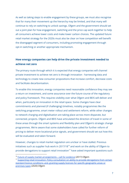As well as taking steps to enable engagement by these groups, we must also recognise that for many their movement up the hierarchy may be limited, and that many will continue to rely on switching to unlock savings. Ofgem and the government should set out a joint plan for how engagement, switching and the price cap work together to help all consumers achieve lower costs and make lower carbon choices. The updated future retail market strategy for the 2020s must also be clear on how competition will benefit the disengaged segment of consumers, including promoting engagement through opt-in switching or another appropriate mechanism.

#### **How energy companies can help drive the private investment needed to achieve net zero**

The primary route through which it is expected that energy companies will channel private investment to achieve net zero is through innovation - harnessing data and technology to create new consumer propositions that increase comfort, decrease costs and facilitate decarbonisation.

To enable this innovation, energy companies need reasonable confidence they may see a return on investment, and some assurance over the future course of the regulatory and policy framework. This requires visibility over what Ofgem and BEIS will deliver and when, particularly on innovation in the retail space. Some changes have clear commitments and planned (if challenging) timelines, notably programmes like the switching programme, smart meter rollout and settlement reform, while other changes to network charging and digitalisation are taking place across more disparate, but connected, projects. Ofgem and BEIS have articulated the direction of travel in some of these areas through the smart systems and flexibility plan and Ofgem's strategic change programmes. We're aware that some stakeholders have called for further reform of pricing to deliver more locational price signals, and government should set out how this will be evaluated and taken forward.

However, changes to retail market regulation are unclear or have stalled. Previous initiatives such as supplier hub work in 2017/18 $^{\rm 16}$  and work on the ability of Ofgem to provide derogations to support retail innovation $^{17}$  have asked important questions such

<sup>&</sup>lt;sup>16</sup> Future of supply market [arrangements](https://www.ofgem.gov.uk/publications/future-supply-market-arrangements-call-evidence) - call for evidence (2017) Ofgem

<sup>&</sup>lt;sup>17</sup> Supporting retail innovation: Policy [consultation](https://www.ofgem.gov.uk/publications/supporting-retail-innovation-policy-consultation-ability-provide-derogations-certain-standard-licence-conditions-and-granting-supply-licences-specific-geographic-areas-or-premises-types) on ability to provide derogations from certain standard licence conditions; and, granting supply licences for specific [geographic](https://www.ofgem.gov.uk/publications/supporting-retail-innovation-policy-consultation-ability-provide-derogations-certain-standard-licence-conditions-and-granting-supply-licences-specific-geographic-areas-or-premises-types) areas or [premises](https://www.ofgem.gov.uk/publications/supporting-retail-innovation-policy-consultation-ability-provide-derogations-certain-standard-licence-conditions-and-granting-supply-licences-specific-geographic-areas-or-premises-types) types (2020) Ofgem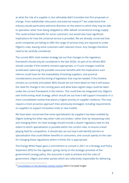as what the role of a supplier is, but ultimately didn't translate into firm proposals or change. From stakeholder discussion and external research <sup>18</sup> we understand that industry would particularly welcome direction on the extent to which they may be able to specialise rather than being obligated to offer default conventional energy supply. This could achieve benefits for some customers, but would also have significant implications for how the universal service is provided. We are already concerned that some companies are failing to offer the range of services they are required to under Ofgem's rules, leaving some customers with reduced choice. Any changes therefore need to be carefully considered.

The current BEIS retail market strategy set out that changes to the regulatory framework should only be considered in the late 2020s. As part of its refresh BEIS should consider if this timeline remains appropriate, or if such changes could be accelerated, balancing the possible consumer benefits with the implications such reforms could have for the investability of existing suppliers, and practical considerations around the timing of legislation that may be needed. If the timeline remains as currently articulated, BEIS should set out more detail on how it will assess the need for change in the coming years and what least-regrets steps could be taken under the current framework in the interim. This could then be integrated into Ofgem's own forthcoming retail strategy, which should set out how it will support innovation in a more consolidated market that places a higher priority on supplier resilience. This may require a more proactive approach than previously envisaged, including requirements on suppliers to support innovation trials or new models.

We have been concerned that some specialisation by suppliers has been enabled by Ofgem looking the other way when rules are broken, rather than by reassessing rules and changing them. Its retail strategy should include a clearer regulatory view on the extent to which specialisation is possible within the current rules, to ensure a level playing field for competition. It should also set out how it will identify barriers to specialisation that could deliver benefits to consumers, and consult openly on the case for changing these regulations where it thinks this is appropriate.

The Energy White Paper gave a commitment to consult in 2021 on a Strategy and Policy Statement (SPS) for the regulator, giving clarity on the strategic priorities of the government's energy policy, the outcomes it seek to achieve and the roles of government, Ofgem and other parties which are collectively responsible for delivering

<sup>&</sup>lt;sup>18</sup> [Consolidation](https://www.shoosmiths.co.uk/-/media/download-documents/reports/consolidation-in-the-domestic-energy-market.pdf) in the domestic energy market (2021) Cornwall Insight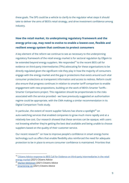these goals. The SPS could be a vehicle to clarify to the regulator what steps it should take to deliver the aims of BEIS's retail strategy, and drive investment confidence among industry.

#### **How the retail market, its underpinning regulatory framework and the energy price cap, may need to evolve to enable a lowest-cost, flexible and resilient energy system that continues to protect consumers**

A key element of the reform we continue to see as necessary to the underpinning regulatory framework of the retail energy market is for sectoral regulation by Ofgem to be extended beyond energy suppliers. We responded<sup>19</sup> to the recent BEIS call for evidence on third-party intermediaries (TPIs) advocating for these organisations to be directly regulated given the significant role they play in how the majority of consumers engage with the energy market and the gap in protections that exists around such vital consumer protections as transparent information and access to redress. Reform could also ensure that progress continues in relation to smarter tariff comparison to enable engagement with new propositions, building on the work of BEIS's Smarter Tariffs - Smarter Comparisons project. This regulation should be proportionate to the risks associated with the service provided - we have previously suggested an authorisation regime could be appropriate, with the CMA making a similar recommendation in its Digital Comparison Tools study.

In particular, the extent of recent supplier failures has shone a spotlight $^{20}$  on auto-switching services that enabled companies to grow much more rapidly and at a relatively low cost. Our research showed that these services can be opaque, with users not knowing whether they're getting the best deal available and being unable to choose suppliers based on the quality of their customer service.

Our recent research<sup>21</sup> on how to improve people's confidence in smart energy home technology such as offers that enable flexibility also reinforced the need for adequate protection to be in place to ensure consumer confidence is maintained. Priorities that

<sup>&</sup>lt;sup>19</sup> Citizens Advice response to BEIS Call for Evidence on third-party [intermediaries](https://www.citizensadvice.org.uk/about-us/our-work/policy/policy-research-topics/energy-policy-research-and-consultation-responses/energy-consultation-responses/citizens-advice-response-to-beis-call-for-evidence-on-third-party-intermediaries-in-the-retail-energy-market/) in the retail energy [market](https://www.citizensadvice.org.uk/about-us/our-work/policy/policy-research-topics/energy-policy-research-and-consultation-responses/energy-consultation-responses/citizens-advice-response-to-beis-call-for-evidence-on-third-party-intermediaries-in-the-retail-energy-market/) (2021) Citizens Advice

<sup>20</sup> Market [Meltdown](https://www.citizensadvice.org.uk/about-us/our-work/policy/policy-research-topics/energy-policy-research-and-consultation-responses/energy-policy-research/market-meltdown-how-regulatory-failures-landed-us-with-a-multi-billion-pound-bill/) (2021) Citizens Advice

<sup>&</sup>lt;sup>21</sup> [Smartening](https://www.citizensadvice.org.uk/Global/CitizensAdvice/Energy/Smartening%20up_%20How%20to%20improve%20people%27s%20confidence%20in%20smart%20home%20technology%20(2).pdf) Up (2021) Citizens Advice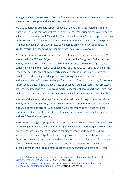emerged were for consumers to feel confident about the contracts they sign up to know where to go for support and have control over their data.

We also continue to strongly support aspects of the retail strategy related to market distortions, and the removal of thresholds for vital schemes supporting low income and vulnerable consumers like ECO and the Warm Home Discount. We also support reforms to the Renewables Obligation to reduce the risk of mutualisation, to incentivise prudent financial management and avoid costs being passed on to compliant suppliers, and similar reforms by Ofgem to limit inappropriate use of credit balances.

Another necessary evolution in the retail policy framework is energy code reform. We agreed with the BEIS and Ofgem joint consultation on the Design and Delivery of the Energy Code Reform<sup>22</sup> that reducing the number of codes could deliver significant benefits by making them easier to engage with and facilitate coordinated change. The Retail Energy Code, while still at an early stage of operation, has demonstrated the benefit of a code manager-led approach in ensuring consumer interest is incorporated in the assessment of ongoing market performance and future changes. Any future code reform should ensure that change across all codes can progress faster, that processes are less time intensive to ensure cross-market engagement across participant sizes and that the codes can facilitate the entrance of new and innovative market participants.

In terms of the energy price cap, Citizens Advice welcomed in response to the original Energy Retail Market Strategy for the 2020s the confirmation that the price would be extended beyond its original 2023 sunset clause, representing as it does the best guarantee under current circumstances that consumers pay a fair price for their energy and won't face the loyalty penalty.

In response<sup>23</sup> to Ofgem's proposals for reform of the cap, we recognised there is a case for allowing the level of the default tariff cap to be amended more frequently than once every six months, in order to respond to conditions where underlying costs have increased or decreased significantly or rapidly. However, we oppose the intent to allow for ad hoc, effectively retrospective redetermination of the cap if a series of subjective criteria are met, which risks resulting in a reduction in certainty and stability. If the intent is to make the price cap more responsive to fluctuating wholesale costs, this

<sup>&</sup>lt;sup>22</sup> Citizens Advice response to the BEIS and Ofgem joint [consultation](https://www.citizensadvice.org.uk/Global/CitizensAdvice/Energy/Citizens%20Advice%20response%20to%20Code%20Reform%20consultation%2028.9.21.pdf) on the Design and [Delivery](https://www.citizensadvice.org.uk/Global/CitizensAdvice/Energy/Citizens%20Advice%20response%20to%20Code%20Reform%20consultation%2028.9.21.pdf) of the Energy Code Reform (2021) Citizens Advice

<sup>&</sup>lt;sup>23</sup> Response to Ofgem's [consultation](https://www.citizensadvice.org.uk/about-us/our-work/policy/policy-research-topics/energy-policy-research-and-consultation-responses/energy-consultation-responses/) on the process for updating the default tariff cap [methodology](https://www.citizensadvice.org.uk/about-us/our-work/policy/policy-research-topics/energy-policy-research-and-consultation-responses/energy-consultation-responses/) and setting maximum charges (2021) Citizens Advice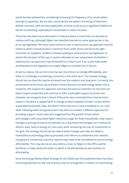would be best achieved by considering increasing the frequency of its recalculation, perhaps to quarterly. We are also concerned by the option of moving to fixed-term default contracts, with exit fees applicable, as these could act as a significant additional barrier to switching, especially for households on lower incomes.

There has also been some discussion in industry about a move from an absolute to relative tariff cap, although Ofgem has identified barriers to some approaches in the price cap legislation. We have some concerns over a relative price cap approach and the extent to which it would protect customers from unfair prices and drive the right incentives on suppliers. As BEIS is already seeking to amend price cap legislation to extend the duration of the cap, it could undertake its own assessment of whether a relative price cap approach may be beneficial in future and, if so, could make wider amendments to the legislation to enable Ofgem to consider this in future.

As set out above, the current crisis has put more focus on energy affordability, and there is a challenge in protecting customers in the short term. The revised strategy should set out how this may be achieved over the medium and long term. Currently, the combination of the price cap and Warm Home Discount provide energy below cost to recipients. We support this approach and have focused our attention on how this can better target households and continue to offer meaningful support as prices rise. However, we recognise that in future if the price cap is removed there may be more scope to introduce a capped tariff or energy product targeted at lower income and/or vulnerable households. Also, the Warm Home Discount is only scheduled to run until 2026, following which the government may wish to consider a different approach to providing support. Some have also suggested that the growth of low carbon technologies, with associated higher electricity usage for these households, may require changes to pricing to ensure households not using these technologies can continue to afford a basic level of energy for core uses, while recovering the cost of investments in the grid. The strategy should set out where these changes and risks are likely to materialise as technology take-up proceeds and reforms to settlement and network charging are introduced, and what options may need to be considered to ensure energy affordability. This may also be an area where a steer to Ofgem in the SPS could be beneficial, to help clarify the extent to which it should develop its own policies on affordability.

Since the Energy Market Retail Strategy for the 2020s was first published there has been increasing attention on the role of policy costs on energy bills in relation to incentivising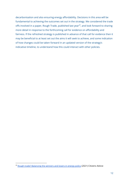decarbonisation and also ensuring energy affordability. Decisions in this area will be fundamental to achieving the outcomes set out in the strategy. We considered the trade offs involved in a paper, Rough Trade, published last year<sup>24</sup>, and look forward to sharing more detail in response to the forthcoming call for evidence on affordability and fairness. If the refreshed strategy is published in advance of that call for evidence then it may be beneficial to at least set out the aims it will seek to achieve, and some indication of how changes could be taken forward in an updated version of the strategy's indicative timeline, to understand how this could interact with other policies.

<sup>&</sup>lt;sup>24</sup> Rough trade? [Balancing](https://www.citizensadvice.org.uk/about-us/our-work/policy/policy-research-topics/energy-policy-research-and-consultation-responses/energy-policy-research/rough-trade-balancing-the-winners-and-losers-in-energy-policy/) the winners and losers in energy policy (2021) Citizens Advice